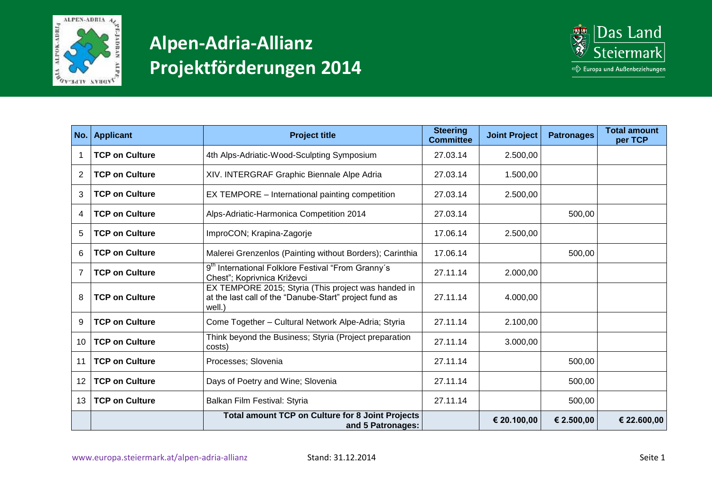



| No.            | <b>Applicant</b>      | <b>Project title</b>                                                                                                    | <b>Steering</b><br><b>Committee</b> | <b>Joint Project</b> | <b>Patronages</b> | <b>Total amount</b><br>per TCP |
|----------------|-----------------------|-------------------------------------------------------------------------------------------------------------------------|-------------------------------------|----------------------|-------------------|--------------------------------|
|                | <b>TCP on Culture</b> | 4th Alps-Adriatic-Wood-Sculpting Symposium                                                                              | 27.03.14                            | 2.500,00             |                   |                                |
| $\overline{2}$ | <b>TCP on Culture</b> | XIV. INTERGRAF Graphic Biennale Alpe Adria                                                                              | 27.03.14                            | 1.500,00             |                   |                                |
| 3              | <b>TCP on Culture</b> | EX TEMPORE - International painting competition                                                                         | 27.03.14                            | 2.500,00             |                   |                                |
| 4              | <b>TCP on Culture</b> | Alps-Adriatic-Harmonica Competition 2014                                                                                | 27.03.14                            |                      | 500,00            |                                |
| 5              | <b>TCP on Culture</b> | ImproCON; Krapina-Zagorje                                                                                               | 17.06.14                            | 2.500,00             |                   |                                |
| 6              | <b>TCP on Culture</b> | Malerei Grenzenlos (Painting without Borders); Carinthia                                                                | 17.06.14                            |                      | 500,00            |                                |
| $\overline{7}$ | <b>TCP on Culture</b> | 9 <sup>th</sup> International Folklore Festival "From Granny's<br>Chesť"; Koprivnica Križevci                           | 27.11.14                            | 2.000,00             |                   |                                |
| 8              | <b>TCP on Culture</b> | EX TEMPORE 2015; Styria (This project was handed in<br>at the last call of the "Danube-Start" project fund as<br>well.) | 27.11.14                            | 4.000,00             |                   |                                |
| 9              | <b>TCP on Culture</b> | Come Together - Cultural Network Alpe-Adria; Styria                                                                     | 27.11.14                            | 2.100,00             |                   |                                |
| 10             | <b>TCP on Culture</b> | Think beyond the Business; Styria (Project preparation<br>costs)                                                        | 27.11.14                            | 3.000,00             |                   |                                |
| 11             | <b>TCP on Culture</b> | Processes; Slovenia                                                                                                     | 27.11.14                            |                      | 500,00            |                                |
| 12             | <b>TCP on Culture</b> | Days of Poetry and Wine; Slovenia                                                                                       | 27.11.14                            |                      | 500,00            |                                |
| 13             | <b>TCP on Culture</b> | Balkan Film Festival: Styria                                                                                            | 27.11.14                            |                      | 500,00            |                                |
|                |                       | <b>Total amount TCP on Culture for 8 Joint Projects</b><br>and 5 Patronages:                                            |                                     | € 20.100,00          | € 2.500,00        | € 22.600,00                    |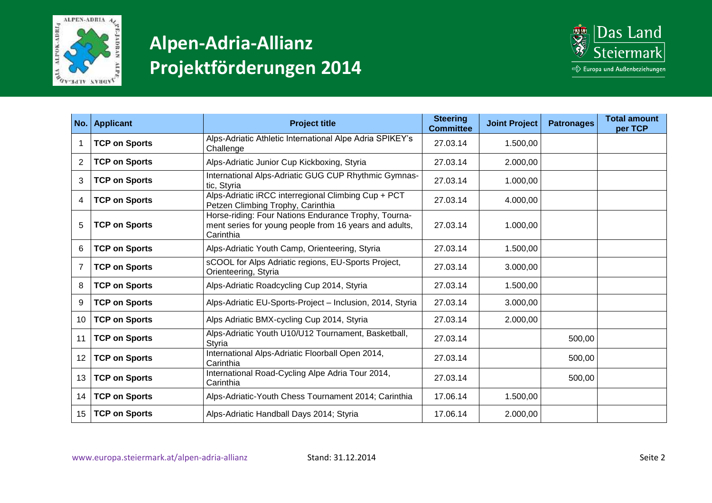



| No.            | <b>Applicant</b>     | <b>Project title</b>                                                                                                        | <b>Steering</b><br><b>Committee</b> | <b>Joint Project</b> | <b>Patronages</b> | <b>Total amount</b><br>per TCP |
|----------------|----------------------|-----------------------------------------------------------------------------------------------------------------------------|-------------------------------------|----------------------|-------------------|--------------------------------|
| -1             | <b>TCP on Sports</b> | Alps-Adriatic Athletic International Alpe Adria SPIKEY's<br>Challenge                                                       | 27.03.14                            | 1.500,00             |                   |                                |
| 2              | <b>TCP on Sports</b> | Alps-Adriatic Junior Cup Kickboxing, Styria                                                                                 | 27.03.14                            | 2.000,00             |                   |                                |
| 3              | <b>TCP on Sports</b> | International Alps-Adriatic GUG CUP Rhythmic Gymnas-<br>tic, Styria                                                         | 27.03.14                            | 1.000,00             |                   |                                |
| 4              | <b>TCP on Sports</b> | Alps-Adriatic iRCC interregional Climbing Cup + PCT<br>Petzen Climbing Trophy, Carinthia                                    | 27.03.14                            | 4.000,00             |                   |                                |
| 5              | <b>TCP on Sports</b> | Horse-riding: Four Nations Endurance Trophy, Tourna-<br>ment series for young people from 16 years and adults,<br>Carinthia | 27.03.14                            | 1.000,00             |                   |                                |
| 6              | <b>TCP on Sports</b> | Alps-Adriatic Youth Camp, Orienteering, Styria                                                                              | 27.03.14                            | 1.500,00             |                   |                                |
| $\overline{7}$ | <b>TCP on Sports</b> | sCOOL for Alps Adriatic regions, EU-Sports Project,<br>Orienteering, Styria                                                 | 27.03.14                            | 3.000,00             |                   |                                |
| 8              | <b>TCP on Sports</b> | Alps-Adriatic Roadcycling Cup 2014, Styria                                                                                  | 27.03.14                            | 1.500,00             |                   |                                |
| 9              | <b>TCP on Sports</b> | Alps-Adriatic EU-Sports-Project - Inclusion, 2014, Styria                                                                   | 27.03.14                            | 3.000,00             |                   |                                |
| 10             | <b>TCP on Sports</b> | Alps Adriatic BMX-cycling Cup 2014, Styria                                                                                  | 27.03.14                            | 2.000,00             |                   |                                |
| 11             | <b>TCP on Sports</b> | Alps-Adriatic Youth U10/U12 Tournament, Basketball,<br>Styria                                                               | 27.03.14                            |                      | 500,00            |                                |
| 12             | <b>TCP on Sports</b> | International Alps-Adriatic Floorball Open 2014,<br>Carinthia                                                               | 27.03.14                            |                      | 500,00            |                                |
| 13             | <b>TCP on Sports</b> | International Road-Cycling Alpe Adria Tour 2014,<br>Carinthia                                                               | 27.03.14                            |                      | 500,00            |                                |
| 14             | <b>TCP on Sports</b> | Alps-Adriatic-Youth Chess Tournament 2014; Carinthia                                                                        | 17.06.14                            | 1.500,00             |                   |                                |
| 15             | <b>TCP on Sports</b> | Alps-Adriatic Handball Days 2014; Styria                                                                                    | 17.06.14                            | 2.000,00             |                   |                                |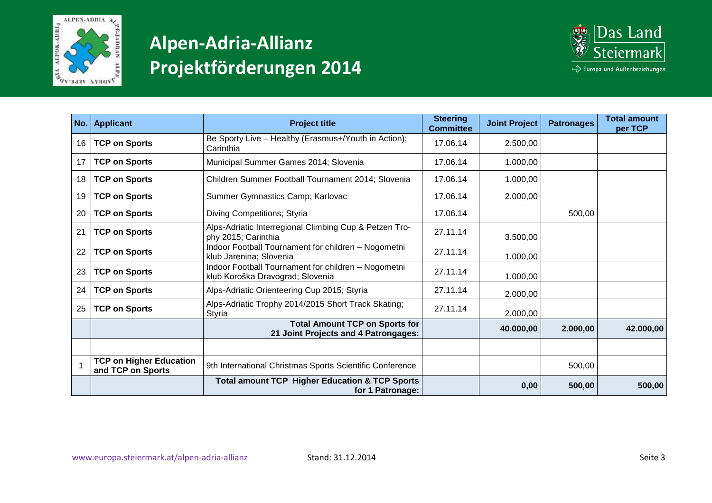



|    | No.   Applicant                                     | <b>Project title</b>                                                                    | <b>Steering</b><br><b>Committee</b> | <b>Joint Project</b> | <b>Patronages</b> | <b>Total amount</b><br>per TCP |
|----|-----------------------------------------------------|-----------------------------------------------------------------------------------------|-------------------------------------|----------------------|-------------------|--------------------------------|
| 16 | <b>TCP on Sports</b>                                | Be Sporty Live - Healthy (Erasmus+/Youth in Action);<br>Carinthia                       | 17.06.14                            | 2.500,00             |                   |                                |
| 17 | <b>TCP on Sports</b>                                | Municipal Summer Games 2014; Slovenia                                                   | 17.06.14                            | 1.000,00             |                   |                                |
| 18 | <b>TCP on Sports</b>                                | Children Summer Football Tournament 2014; Slovenia                                      | 17.06.14                            | 1.000,00             |                   |                                |
| 19 | <b>TCP on Sports</b>                                | Summer Gymnastics Camp; Karlovac                                                        | 17.06.14                            | 2.000,00             |                   |                                |
| 20 | <b>TCP on Sports</b>                                | Diving Competitions; Styria                                                             | 17.06.14                            |                      | 500,00            |                                |
| 21 | <b>TCP on Sports</b>                                | Alps-Adriatic Interregional Climbing Cup & Petzen Tro-<br>phy 2015; Carinthia           | 27.11.14                            | 3.500,00             |                   |                                |
| 22 | <b>TCP on Sports</b>                                | Indoor Football Tournament for children - Nogometni<br>klub Jarenina; Slovenia          | 27.11.14                            | 1.000,00             |                   |                                |
| 23 | <b>TCP on Sports</b>                                | Indoor Football Tournament for children - Nogometni<br>klub Koroška Dravograd; Slovenia | 27.11.14                            | 1.000,00             |                   |                                |
| 24 | <b>TCP on Sports</b>                                | Alps-Adriatic Orienteering Cup 2015; Styria                                             | 27.11.14                            | 2.000,00             |                   |                                |
| 25 | <b>TCP on Sports</b>                                | Alps-Adriatic Trophy 2014/2015 Short Track Skating;<br>Styria                           | 27.11.14                            | 2.000,00             |                   |                                |
|    |                                                     | <b>Total Amount TCP on Sports for</b><br>21 Joint Projects and 4 Patrongages:           |                                     | 40.000,00            | 2.000,00          | 42.000,00                      |
|    |                                                     |                                                                                         |                                     |                      |                   |                                |
|    | <b>TCP on Higher Education</b><br>and TCP on Sports | 9th International Christmas Sports Scientific Conference                                |                                     |                      | 500,00            |                                |
|    |                                                     | <b>Total amount TCP Higher Education &amp; TCP Sports</b><br>for 1 Patronage:           |                                     | 0,00                 | 500,00            | 500,00                         |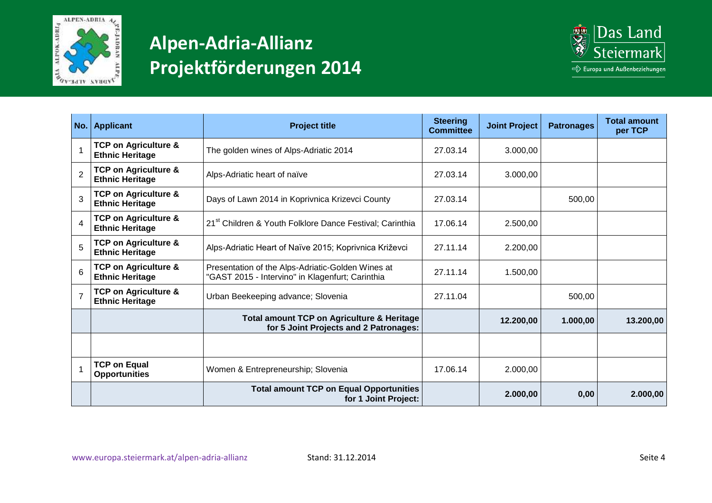



|                | No.   Applicant                                           | <b>Project title</b>                                                                                  | <b>Steering</b><br><b>Committee</b> | <b>Joint Project</b> | <b>Patronages</b> | <b>Total amount</b><br>per TCP |
|----------------|-----------------------------------------------------------|-------------------------------------------------------------------------------------------------------|-------------------------------------|----------------------|-------------------|--------------------------------|
|                | <b>TCP on Agriculture &amp;</b><br><b>Ethnic Heritage</b> | The golden wines of Alps-Adriatic 2014                                                                | 27.03.14                            | 3.000,00             |                   |                                |
| $\overline{2}$ | <b>TCP on Agriculture &amp;</b><br><b>Ethnic Heritage</b> | Alps-Adriatic heart of naïve                                                                          | 27.03.14                            | 3.000,00             |                   |                                |
| 3              | <b>TCP on Agriculture &amp;</b><br><b>Ethnic Heritage</b> | Days of Lawn 2014 in Koprivnica Krizevci County                                                       | 27.03.14                            |                      | 500,00            |                                |
| $\overline{4}$ | <b>TCP on Agriculture &amp;</b><br><b>Ethnic Heritage</b> | 21 <sup>st</sup> Children & Youth Folklore Dance Festival; Carinthia                                  | 17.06.14                            | 2.500,00             |                   |                                |
| 5              | <b>TCP on Agriculture &amp;</b><br><b>Ethnic Heritage</b> | Alps-Adriatic Heart of Naïve 2015; Koprivnica Križevci                                                | 27.11.14                            | 2.200,00             |                   |                                |
| 6              | <b>TCP on Agriculture &amp;</b><br><b>Ethnic Heritage</b> | Presentation of the Alps-Adriatic-Golden Wines at<br>"GAST 2015 - Intervino" in Klagenfurt; Carinthia | 27.11.14                            | 1.500,00             |                   |                                |
|                | <b>TCP on Agriculture &amp;</b><br><b>Ethnic Heritage</b> | Urban Beekeeping advance; Slovenia                                                                    | 27.11.04                            |                      | 500,00            |                                |
|                |                                                           | <b>Total amount TCP on Agriculture &amp; Heritage</b><br>for 5 Joint Projects and 2 Patronages:       |                                     | 12.200,00            | 1.000,00          | 13.200,00                      |
|                |                                                           |                                                                                                       |                                     |                      |                   |                                |
|                | <b>TCP on Equal</b><br><b>Opportunities</b>               | Women & Entrepreneurship; Slovenia                                                                    | 17.06.14                            | 2.000,00             |                   |                                |
|                |                                                           | <b>Total amount TCP on Equal Opportunities</b><br>for 1 Joint Project:                                |                                     | 2.000,00             | 0,00              | 2.000,00                       |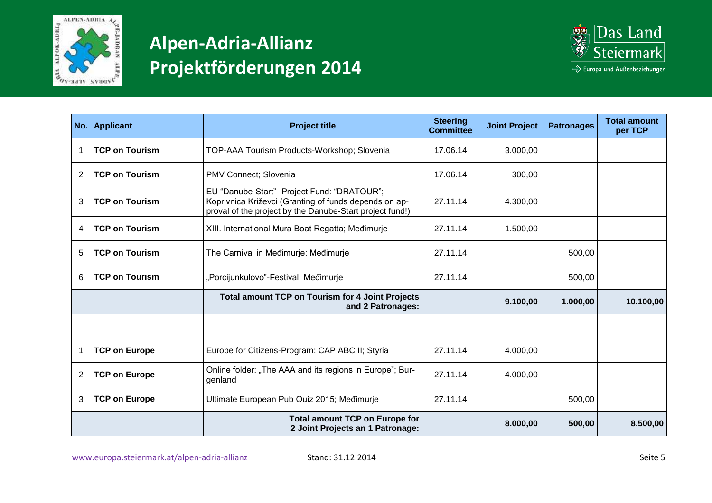



|                | No.   Applicant       | <b>Project title</b>                                                                                                                                             | <b>Steering</b><br><b>Committee</b> | <b>Joint Project</b> | <b>Patronages</b> | <b>Total amount</b><br>per TCP |
|----------------|-----------------------|------------------------------------------------------------------------------------------------------------------------------------------------------------------|-------------------------------------|----------------------|-------------------|--------------------------------|
| -1             | <b>TCP on Tourism</b> | TOP-AAA Tourism Products-Workshop; Slovenia                                                                                                                      | 17.06.14                            | 3.000,00             |                   |                                |
| $\overline{2}$ | <b>TCP on Tourism</b> | PMV Connect; Slovenia                                                                                                                                            | 17.06.14                            | 300,00               |                   |                                |
| 3              | <b>TCP on Tourism</b> | EU "Danube-Start"- Project Fund: "DRATOUR";<br>Koprivnica Križevci (Granting of funds depends on ap-<br>proval of the project by the Danube-Start project fund!) | 27.11.14                            | 4.300,00             |                   |                                |
| $\overline{4}$ | <b>TCP on Tourism</b> | XIII. International Mura Boat Regatta; Međimurje                                                                                                                 | 27.11.14                            | 1.500,00             |                   |                                |
| 5              | <b>TCP on Tourism</b> | The Carnival in Međimurje; Međimurje                                                                                                                             | 27.11.14                            |                      | 500,00            |                                |
| 6              | <b>TCP on Tourism</b> | "Porcijunkulovo"-Festival; Međimurje                                                                                                                             | 27.11.14                            |                      | 500,00            |                                |
|                |                       | <b>Total amount TCP on Tourism for 4 Joint Projects</b><br>and 2 Patronages:                                                                                     |                                     | 9.100,00             | 1.000,00          | 10.100,00                      |
|                |                       |                                                                                                                                                                  |                                     |                      |                   |                                |
| -1             | <b>TCP on Europe</b>  | Europe for Citizens-Program: CAP ABC II; Styria                                                                                                                  | 27.11.14                            | 4.000,00             |                   |                                |
| $\overline{2}$ | <b>TCP on Europe</b>  | Online folder: "The AAA and its regions in Europe"; Bur-<br>genland                                                                                              | 27.11.14                            | 4.000,00             |                   |                                |
| 3              | <b>TCP on Europe</b>  | Ultimate European Pub Quiz 2015; Međimurje                                                                                                                       | 27.11.14                            |                      | 500,00            |                                |
|                |                       | <b>Total amount TCP on Europe for</b><br>2 Joint Projects an 1 Patronage:                                                                                        |                                     | 8.000,00             | 500,00            | 8.500,00                       |